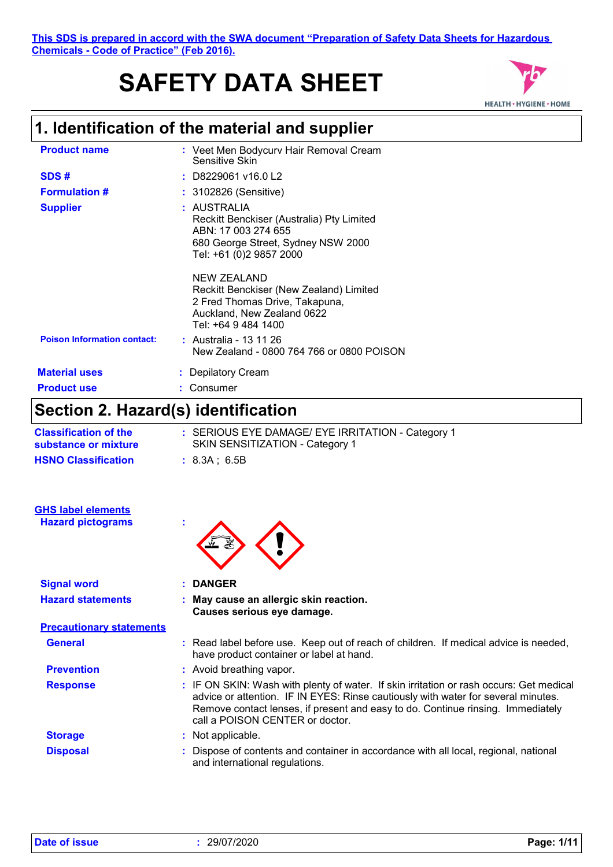# **SAFETY DATA SHEET**



### **1. Identification of the material and supplier**

| <b>Product name</b>                | : Veet Men Bodycurv Hair Removal Cream<br>Sensitive Skin                                                                                         |
|------------------------------------|--------------------------------------------------------------------------------------------------------------------------------------------------|
| SDS#                               | $:$ D8229061 v16.0 L2                                                                                                                            |
| <b>Formulation #</b>               | : 3102826 (Sensitive)                                                                                                                            |
| <b>Supplier</b>                    | : AUSTRALIA<br>Reckitt Benckiser (Australia) Pty Limited<br>ABN: 17 003 274 655<br>680 George Street, Sydney NSW 2000<br>Tel: +61 (0)2 9857 2000 |
|                                    | NEW ZEALAND<br>Reckitt Benckiser (New Zealand) Limited<br>2 Fred Thomas Drive, Takapuna,<br>Auckland, New Zealand 0622<br>Tel: +64 9 484 1400    |
| <b>Poison Information contact:</b> | : Australia - 13 11 26<br>New Zealand - 0800 764 766 or 0800 POISON                                                                              |
| <b>Material uses</b>               | : Depilatory Cream                                                                                                                               |
| <b>Product use</b>                 | Consumer                                                                                                                                         |
|                                    |                                                                                                                                                  |

### **Section 2. Hazard(s) identification**

| <b>Classification of the</b><br>substance or mixture | : SERIOUS EYE DAMAGE/ EYE IRRITATION - Category 1<br>SKIN SENSITIZATION - Category 1 |
|------------------------------------------------------|--------------------------------------------------------------------------------------|
| <b>HSNO Classification</b>                           | : 8.3A:6.5B                                                                          |

| <b>Hazard pictograms</b>        |                                                                                                                                                                                                                                                                                                    |
|---------------------------------|----------------------------------------------------------------------------------------------------------------------------------------------------------------------------------------------------------------------------------------------------------------------------------------------------|
| <b>Signal word</b>              | : DANGER                                                                                                                                                                                                                                                                                           |
| <b>Hazard statements</b>        | : May cause an allergic skin reaction.<br>Causes serious eye damage.                                                                                                                                                                                                                               |
| <b>Precautionary statements</b> |                                                                                                                                                                                                                                                                                                    |
| <b>General</b>                  | : Read label before use. Keep out of reach of children. If medical advice is needed,<br>have product container or label at hand.                                                                                                                                                                   |
| <b>Prevention</b>               | : Avoid breathing vapor.                                                                                                                                                                                                                                                                           |
| <b>Response</b>                 | : IF ON SKIN: Wash with plenty of water. If skin irritation or rash occurs: Get medical<br>advice or attention. IF IN EYES: Rinse cautiously with water for several minutes.<br>Remove contact lenses, if present and easy to do. Continue rinsing. Immediately<br>call a POISON CENTER or doctor. |
| <b>Storage</b>                  | : Not applicable.                                                                                                                                                                                                                                                                                  |
| <b>Disposal</b>                 | : Dispose of contents and container in accordance with all local, regional, national<br>and international regulations.                                                                                                                                                                             |

**GHS label elements**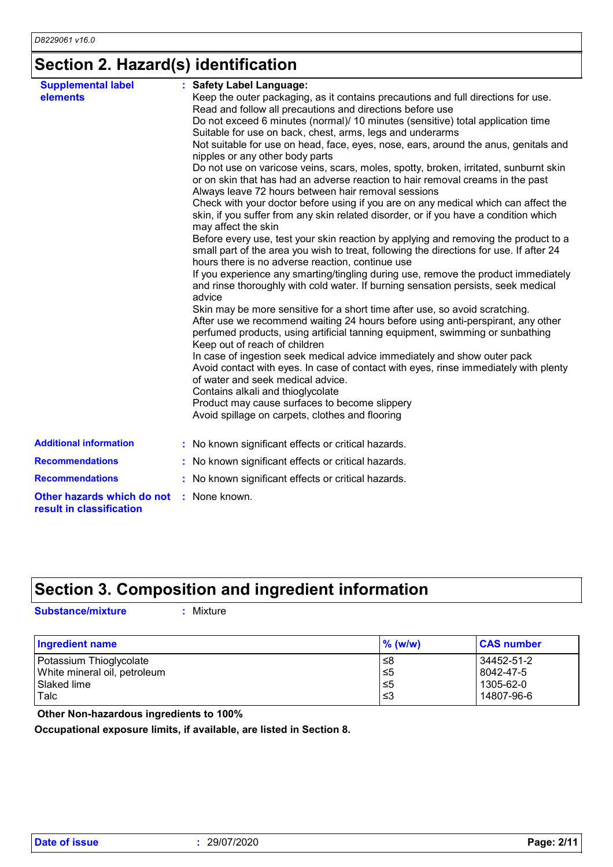### **Section 2. Hazard(s) identification**

| <b>Supplemental label</b>                              | : Safety Label Language:                                                                                                                                                                                                           |
|--------------------------------------------------------|------------------------------------------------------------------------------------------------------------------------------------------------------------------------------------------------------------------------------------|
| elements                                               | Keep the outer packaging, as it contains precautions and full directions for use.<br>Read and follow all precautions and directions before use                                                                                     |
|                                                        | Do not exceed 6 minutes (normal)/ 10 minutes (sensitive) total application time                                                                                                                                                    |
|                                                        | Suitable for use on back, chest, arms, legs and underarms                                                                                                                                                                          |
|                                                        | Not suitable for use on head, face, eyes, nose, ears, around the anus, genitals and<br>nipples or any other body parts                                                                                                             |
|                                                        | Do not use on varicose veins, scars, moles, spotty, broken, irritated, sunburnt skin<br>or on skin that has had an adverse reaction to hair removal creams in the past<br>Always leave 72 hours between hair removal sessions      |
|                                                        | Check with your doctor before using if you are on any medical which can affect the<br>skin, if you suffer from any skin related disorder, or if you have a condition which<br>may affect the skin                                  |
|                                                        | Before every use, test your skin reaction by applying and removing the product to a<br>small part of the area you wish to treat, following the directions for use. If after 24<br>hours there is no adverse reaction, continue use |
|                                                        | If you experience any smarting/tingling during use, remove the product immediately<br>and rinse thoroughly with cold water. If burning sensation persists, seek medical<br>advice                                                  |
|                                                        | Skin may be more sensitive for a short time after use, so avoid scratching.                                                                                                                                                        |
|                                                        | After use we recommend waiting 24 hours before using anti-perspirant, any other<br>perfumed products, using artificial tanning equipment, swimming or sunbathing                                                                   |
|                                                        | Keep out of reach of children                                                                                                                                                                                                      |
|                                                        | In case of ingestion seek medical advice immediately and show outer pack<br>Avoid contact with eyes. In case of contact with eyes, rinse immediately with plenty<br>of water and seek medical advice.                              |
|                                                        | Contains alkali and thioglycolate                                                                                                                                                                                                  |
|                                                        | Product may cause surfaces to become slippery                                                                                                                                                                                      |
|                                                        | Avoid spillage on carpets, clothes and flooring                                                                                                                                                                                    |
| <b>Additional information</b>                          | : No known significant effects or critical hazards.                                                                                                                                                                                |
| <b>Recommendations</b>                                 | : No known significant effects or critical hazards.                                                                                                                                                                                |
| <b>Recommendations</b>                                 | : No known significant effects or critical hazards.                                                                                                                                                                                |
| Other hazards which do not<br>result in classification | : None known.                                                                                                                                                                                                                      |
|                                                        |                                                                                                                                                                                                                                    |

### **Section 3. Composition and ingredient information**

**Substance/mixture :**

: Mixture

| Ingredient name              | $\%$ (w/w) | <b>CAS number</b> |
|------------------------------|------------|-------------------|
| Potassium Thioglycolate      | 8≥         | 34452-51-2        |
| White mineral oil, petroleum | 5⊃         | l 8042-47-5       |
| Slaked lime                  | 5⊃         | 1305-62-0         |
| Talc                         | -≤3        | 14807-96-6        |

 **Other Non-hazardous ingredients to 100%**

**Occupational exposure limits, if available, are listed in Section 8.**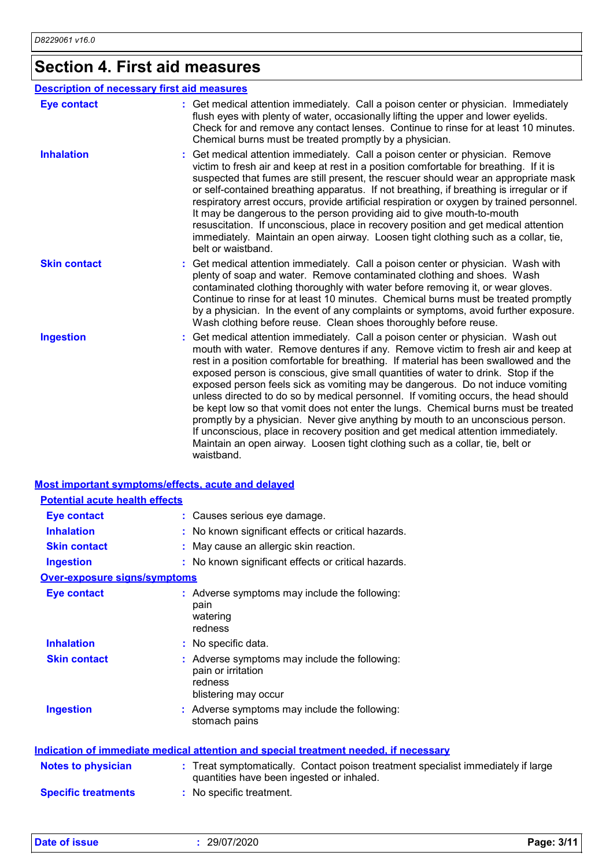## **Section 4. First aid measures**

|                     | <b>Description of necessary first aid measures</b>                                                                                                                                                                                                                                                                                                                                                                                                                                                                                                                                                                                                                                                                                                                                                                                                                                   |
|---------------------|--------------------------------------------------------------------------------------------------------------------------------------------------------------------------------------------------------------------------------------------------------------------------------------------------------------------------------------------------------------------------------------------------------------------------------------------------------------------------------------------------------------------------------------------------------------------------------------------------------------------------------------------------------------------------------------------------------------------------------------------------------------------------------------------------------------------------------------------------------------------------------------|
| <b>Eye contact</b>  | : Get medical attention immediately. Call a poison center or physician. Immediately<br>flush eyes with plenty of water, occasionally lifting the upper and lower eyelids.<br>Check for and remove any contact lenses. Continue to rinse for at least 10 minutes.<br>Chemical burns must be treated promptly by a physician.                                                                                                                                                                                                                                                                                                                                                                                                                                                                                                                                                          |
| <b>Inhalation</b>   | Get medical attention immediately. Call a poison center or physician. Remove<br>victim to fresh air and keep at rest in a position comfortable for breathing. If it is<br>suspected that fumes are still present, the rescuer should wear an appropriate mask<br>or self-contained breathing apparatus. If not breathing, if breathing is irregular or if<br>respiratory arrest occurs, provide artificial respiration or oxygen by trained personnel.<br>It may be dangerous to the person providing aid to give mouth-to-mouth<br>resuscitation. If unconscious, place in recovery position and get medical attention<br>immediately. Maintain an open airway. Loosen tight clothing such as a collar, tie,<br>belt or waistband.                                                                                                                                                  |
| <b>Skin contact</b> | : Get medical attention immediately. Call a poison center or physician. Wash with<br>plenty of soap and water. Remove contaminated clothing and shoes. Wash<br>contaminated clothing thoroughly with water before removing it, or wear gloves.<br>Continue to rinse for at least 10 minutes. Chemical burns must be treated promptly<br>by a physician. In the event of any complaints or symptoms, avoid further exposure.<br>Wash clothing before reuse. Clean shoes thoroughly before reuse.                                                                                                                                                                                                                                                                                                                                                                                      |
| <b>Ingestion</b>    | Get medical attention immediately. Call a poison center or physician. Wash out<br>mouth with water. Remove dentures if any. Remove victim to fresh air and keep at<br>rest in a position comfortable for breathing. If material has been swallowed and the<br>exposed person is conscious, give small quantities of water to drink. Stop if the<br>exposed person feels sick as vomiting may be dangerous. Do not induce vomiting<br>unless directed to do so by medical personnel. If vomiting occurs, the head should<br>be kept low so that vomit does not enter the lungs. Chemical burns must be treated<br>promptly by a physician. Never give anything by mouth to an unconscious person.<br>If unconscious, place in recovery position and get medical attention immediately.<br>Maintain an open airway. Loosen tight clothing such as a collar, tie, belt or<br>waistband. |

#### **Most important symptoms/effects, acute and delayed**

| <b>Potential acute health effects</b> |                                                                                                                                |
|---------------------------------------|--------------------------------------------------------------------------------------------------------------------------------|
| <b>Eye contact</b>                    | : Causes serious eye damage.                                                                                                   |
| <b>Inhalation</b>                     | : No known significant effects or critical hazards.                                                                            |
| <b>Skin contact</b>                   | May cause an allergic skin reaction.                                                                                           |
| <b>Ingestion</b>                      | : No known significant effects or critical hazards.                                                                            |
| Over-exposure signs/symptoms          |                                                                                                                                |
| <b>Eye contact</b>                    | : Adverse symptoms may include the following:<br>pain<br>watering<br>redness                                                   |
| <b>Inhalation</b>                     | : No specific data.                                                                                                            |
| <b>Skin contact</b>                   | Adverse symptoms may include the following:<br>pain or irritation<br>redness<br>blistering may occur                           |
| <b>Ingestion</b>                      | : Adverse symptoms may include the following:<br>stomach pains                                                                 |
|                                       | Indication of immediate medical attention and special treatment needed, if necessary                                           |
| <b>Notes to physician</b>             | : Treat symptomatically. Contact poison treatment specialist immediately if large<br>quantities have been ingested or inhaled. |
| <b>Specific treatments</b>            | : No specific treatment.                                                                                                       |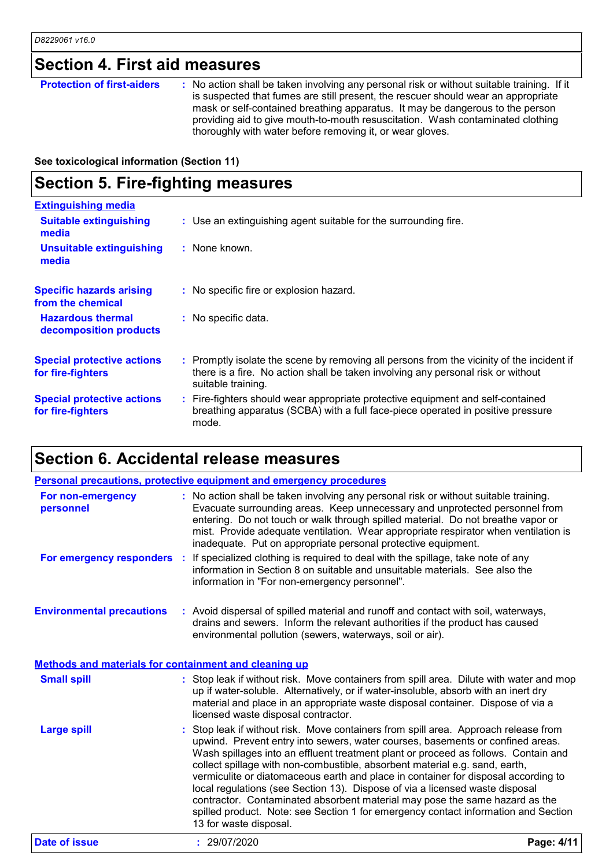### **Section 4. First aid measures**

| mask or self-contained breathing apparatus. It may be dangerous to the person<br>providing aid to give mouth-to-mouth resuscitation. Wash contaminated clothing<br>thoroughly with water before removing it, or wear gloves. | <b>Protection of first-aiders</b> | : No action shall be taken involving any personal risk or without suitable training. If it<br>is suspected that fumes are still present, the rescuer should wear an appropriate |
|------------------------------------------------------------------------------------------------------------------------------------------------------------------------------------------------------------------------------|-----------------------------------|---------------------------------------------------------------------------------------------------------------------------------------------------------------------------------|
|------------------------------------------------------------------------------------------------------------------------------------------------------------------------------------------------------------------------------|-----------------------------------|---------------------------------------------------------------------------------------------------------------------------------------------------------------------------------|

**See toxicological information (Section 11)**

### **Section 5. Fire-fighting measures**

| <b>Extinguishing media</b>                             |                                                                                                                                                                                                     |
|--------------------------------------------------------|-----------------------------------------------------------------------------------------------------------------------------------------------------------------------------------------------------|
| <b>Suitable extinguishing</b><br>media                 | : Use an extinguishing agent suitable for the surrounding fire.                                                                                                                                     |
| <b>Unsuitable extinguishing</b><br>media               | : None known.                                                                                                                                                                                       |
| <b>Specific hazards arising</b><br>from the chemical   | : No specific fire or explosion hazard.                                                                                                                                                             |
| <b>Hazardous thermal</b><br>decomposition products     | : No specific data.                                                                                                                                                                                 |
| <b>Special protective actions</b><br>for fire-fighters | : Promptly isolate the scene by removing all persons from the vicinity of the incident if<br>there is a fire. No action shall be taken involving any personal risk or without<br>suitable training. |
| <b>Special protective actions</b><br>for fire-fighters | : Fire-fighters should wear appropriate protective equipment and self-contained<br>breathing apparatus (SCBA) with a full face-piece operated in positive pressure<br>mode.                         |

### **Section 6. Accidental release measures**

|                                                       | <b>Personal precautions, protective equipment and emergency procedures</b>                                                                                                                                                                                                                                                                                                                                                                                                                                                                                                                                                                                                                                    |            |
|-------------------------------------------------------|---------------------------------------------------------------------------------------------------------------------------------------------------------------------------------------------------------------------------------------------------------------------------------------------------------------------------------------------------------------------------------------------------------------------------------------------------------------------------------------------------------------------------------------------------------------------------------------------------------------------------------------------------------------------------------------------------------------|------------|
| For non-emergency<br>personnel                        | : No action shall be taken involving any personal risk or without suitable training.<br>Evacuate surrounding areas. Keep unnecessary and unprotected personnel from<br>entering. Do not touch or walk through spilled material. Do not breathe vapor or<br>mist. Provide adequate ventilation. Wear appropriate respirator when ventilation is<br>inadequate. Put on appropriate personal protective equipment.                                                                                                                                                                                                                                                                                               |            |
|                                                       | For emergency responders : If specialized clothing is required to deal with the spillage, take note of any<br>information in Section 8 on suitable and unsuitable materials. See also the<br>information in "For non-emergency personnel".                                                                                                                                                                                                                                                                                                                                                                                                                                                                    |            |
| <b>Environmental precautions</b>                      | : Avoid dispersal of spilled material and runoff and contact with soil, waterways,<br>drains and sewers. Inform the relevant authorities if the product has caused<br>environmental pollution (sewers, waterways, soil or air).                                                                                                                                                                                                                                                                                                                                                                                                                                                                               |            |
| Methods and materials for containment and cleaning up |                                                                                                                                                                                                                                                                                                                                                                                                                                                                                                                                                                                                                                                                                                               |            |
| <b>Small spill</b>                                    | : Stop leak if without risk. Move containers from spill area. Dilute with water and mop<br>up if water-soluble. Alternatively, or if water-insoluble, absorb with an inert dry<br>material and place in an appropriate waste disposal container. Dispose of via a<br>licensed waste disposal contractor.                                                                                                                                                                                                                                                                                                                                                                                                      |            |
| <b>Large spill</b>                                    | Stop leak if without risk. Move containers from spill area. Approach release from<br>upwind. Prevent entry into sewers, water courses, basements or confined areas.<br>Wash spillages into an effluent treatment plant or proceed as follows. Contain and<br>collect spillage with non-combustible, absorbent material e.g. sand, earth,<br>vermiculite or diatomaceous earth and place in container for disposal according to<br>local regulations (see Section 13). Dispose of via a licensed waste disposal<br>contractor. Contaminated absorbent material may pose the same hazard as the<br>spilled product. Note: see Section 1 for emergency contact information and Section<br>13 for waste disposal. |            |
| <b>Date of issue</b>                                  | : 29/07/2020                                                                                                                                                                                                                                                                                                                                                                                                                                                                                                                                                                                                                                                                                                  | Page: 4/11 |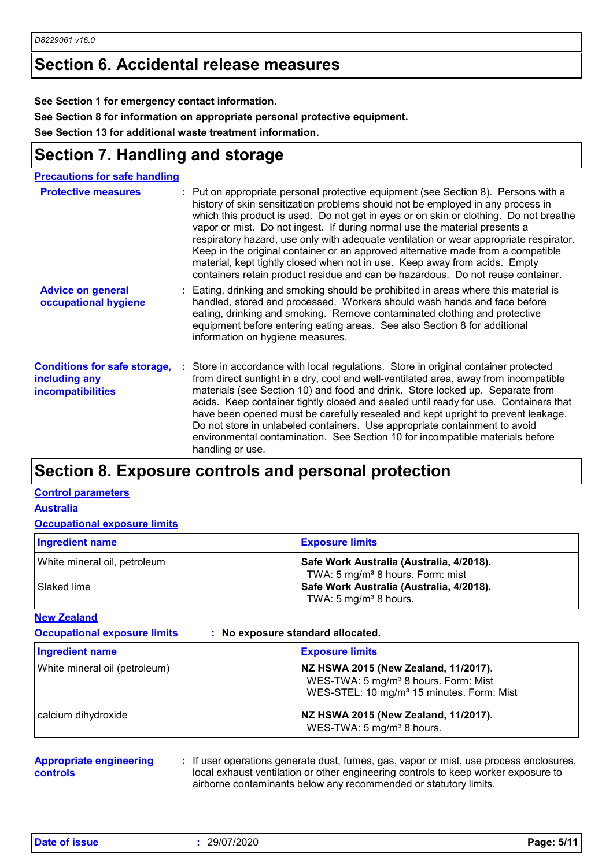#### **Section 6. Accidental release measures**

**See Section 1 for emergency contact information.**

**See Section 8 for information on appropriate personal protective equipment.**

**See Section 13 for additional waste treatment information.**

### **Section 7. Handling and storage**

| <b>Precautions for safe handling</b>                                             |                                                                                                                                                                                                                                                                                                                                                                                                                                                                                                                                                                                                                                                                                             |
|----------------------------------------------------------------------------------|---------------------------------------------------------------------------------------------------------------------------------------------------------------------------------------------------------------------------------------------------------------------------------------------------------------------------------------------------------------------------------------------------------------------------------------------------------------------------------------------------------------------------------------------------------------------------------------------------------------------------------------------------------------------------------------------|
| <b>Protective measures</b>                                                       | : Put on appropriate personal protective equipment (see Section 8). Persons with a<br>history of skin sensitization problems should not be employed in any process in<br>which this product is used. Do not get in eyes or on skin or clothing. Do not breathe<br>vapor or mist. Do not ingest. If during normal use the material presents a<br>respiratory hazard, use only with adequate ventilation or wear appropriate respirator.<br>Keep in the original container or an approved alternative made from a compatible<br>material, kept tightly closed when not in use. Keep away from acids. Empty<br>containers retain product residue and can be hazardous. Do not reuse container. |
| <b>Advice on general</b><br>occupational hygiene                                 | : Eating, drinking and smoking should be prohibited in areas where this material is<br>handled, stored and processed. Workers should wash hands and face before<br>eating, drinking and smoking. Remove contaminated clothing and protective<br>equipment before entering eating areas. See also Section 8 for additional<br>information on hygiene measures.                                                                                                                                                                                                                                                                                                                               |
| <b>Conditions for safe storage,</b><br>including any<br><b>incompatibilities</b> | Store in accordance with local regulations. Store in original container protected<br>from direct sunlight in a dry, cool and well-ventilated area, away from incompatible<br>materials (see Section 10) and food and drink. Store locked up. Separate from<br>acids. Keep container tightly closed and sealed until ready for use. Containers that<br>have been opened must be carefully resealed and kept upright to prevent leakage.<br>Do not store in unlabeled containers. Use appropriate containment to avoid<br>environmental contamination. See Section 10 for incompatible materials before<br>handling or use.                                                                   |

### **Section 8. Exposure controls and personal protection**

#### **Control parameters**

**Australia**

#### **Occupational exposure limits**

| Ingredient name              | <b>Exposure limits</b>                                                                   |
|------------------------------|------------------------------------------------------------------------------------------|
| White mineral oil, petroleum | Safe Work Australia (Australia, 4/2018).                                                 |
| l Slaked lime                | TWA: 5 mg/m <sup>3</sup> 8 hours. Form: mist<br>Safe Work Australia (Australia, 4/2018). |
|                              | TWA: 5 mg/m <sup>3</sup> 8 hours.                                                        |

**New Zealand**

**Occupational exposure limits : No exposure standard allocated.**

| Ingredient name               | <b>Exposure limits</b>                                                                                                                            |
|-------------------------------|---------------------------------------------------------------------------------------------------------------------------------------------------|
| White mineral oil (petroleum) | NZ HSWA 2015 (New Zealand, 11/2017).<br>WES-TWA: 5 mg/m <sup>3</sup> 8 hours. Form: Mist<br>WES-STEL: 10 mg/m <sup>3</sup> 15 minutes. Form: Mist |
| calcium dihydroxide           | NZ HSWA 2015 (New Zealand, 11/2017).<br>WES-TWA: 5 mg/m <sup>3</sup> 8 hours.                                                                     |

#### **Appropriate engineering controls**

**:** If user operations generate dust, fumes, gas, vapor or mist, use process enclosures, local exhaust ventilation or other engineering controls to keep worker exposure to airborne contaminants below any recommended or statutory limits.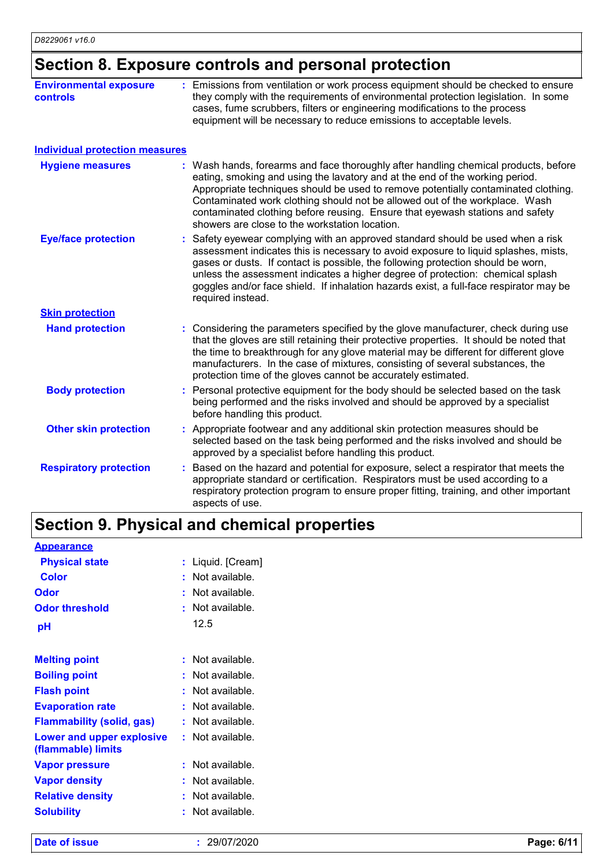### **Section 8. Exposure controls and personal protection**

| <b>Environmental exposure</b><br><b>controls</b> | : Emissions from ventilation or work process equipment should be checked to ensure<br>they comply with the requirements of environmental protection legislation. In some<br>cases, fume scrubbers, filters or engineering modifications to the process<br>equipment will be necessary to reduce emissions to acceptable levels.                                                                                                                                             |
|--------------------------------------------------|-----------------------------------------------------------------------------------------------------------------------------------------------------------------------------------------------------------------------------------------------------------------------------------------------------------------------------------------------------------------------------------------------------------------------------------------------------------------------------|
| <b>Individual protection measures</b>            |                                                                                                                                                                                                                                                                                                                                                                                                                                                                             |
| <b>Hygiene measures</b>                          | : Wash hands, forearms and face thoroughly after handling chemical products, before<br>eating, smoking and using the lavatory and at the end of the working period.<br>Appropriate techniques should be used to remove potentially contaminated clothing.<br>Contaminated work clothing should not be allowed out of the workplace. Wash<br>contaminated clothing before reusing. Ensure that eyewash stations and safety<br>showers are close to the workstation location. |
| <b>Eye/face protection</b>                       | Safety eyewear complying with an approved standard should be used when a risk<br>assessment indicates this is necessary to avoid exposure to liquid splashes, mists,<br>gases or dusts. If contact is possible, the following protection should be worn,<br>unless the assessment indicates a higher degree of protection: chemical splash<br>goggles and/or face shield. If inhalation hazards exist, a full-face respirator may be<br>required instead.                   |
| <b>Skin protection</b>                           |                                                                                                                                                                                                                                                                                                                                                                                                                                                                             |
| <b>Hand protection</b>                           | : Considering the parameters specified by the glove manufacturer, check during use<br>that the gloves are still retaining their protective properties. It should be noted that<br>the time to breakthrough for any glove material may be different for different glove<br>manufacturers. In the case of mixtures, consisting of several substances, the<br>protection time of the gloves cannot be accurately estimated.                                                    |
| <b>Body protection</b>                           | : Personal protective equipment for the body should be selected based on the task<br>being performed and the risks involved and should be approved by a specialist<br>before handling this product.                                                                                                                                                                                                                                                                         |
| <b>Other skin protection</b>                     | : Appropriate footwear and any additional skin protection measures should be<br>selected based on the task being performed and the risks involved and should be<br>approved by a specialist before handling this product.                                                                                                                                                                                                                                                   |
| <b>Respiratory protection</b>                    | Based on the hazard and potential for exposure, select a respirator that meets the<br>appropriate standard or certification. Respirators must be used according to a<br>respiratory protection program to ensure proper fitting, training, and other important<br>aspects of use.                                                                                                                                                                                           |

### **Section 9. Physical and chemical properties**

| <b>Appearance</b>                               |                       |
|-------------------------------------------------|-----------------------|
| <b>Physical state</b>                           | Liquid. [Cream]<br>t. |
| <b>Color</b>                                    | Not available.        |
| Odor                                            | Not available.        |
| <b>Odor threshold</b>                           | Not available.<br>٠   |
| рH                                              | 12.5                  |
| <b>Melting point</b>                            | Not available.        |
| <b>Boiling point</b>                            | Not available.        |
| <b>Flash point</b>                              | Not available.        |
| <b>Evaporation rate</b>                         | Not available.        |
| <b>Flammability (solid, gas)</b>                | Not available.        |
| Lower and upper explosive<br>(flammable) limits | : Not available.      |
| <b>Vapor pressure</b>                           | Not available.        |
| <b>Vapor density</b>                            | Not available.        |
| <b>Relative density</b>                         | Not available.        |
| <b>Solubility</b>                               | Not available.        |

**Date of issue :** 29/07/2020 **Page: 6/11**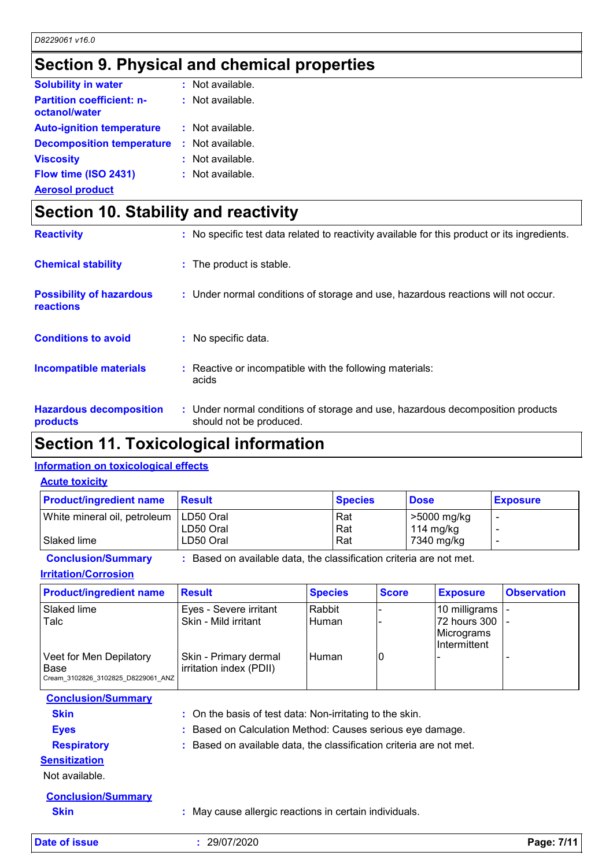### **Section 9. Physical and chemical properties**

| $:$ Not available. |
|--------------------|
| : Not available.   |
| $:$ Not available. |
| : Not available.   |
| : Not available.   |
| : Not available.   |
|                    |

**Aerosol product**

### **Section 10. Stability and reactivity**

| <b>Reactivity</b>                            | : No specific test data related to reactivity available for this product or its ingredients.              |
|----------------------------------------------|-----------------------------------------------------------------------------------------------------------|
| <b>Chemical stability</b>                    | : The product is stable.                                                                                  |
| <b>Possibility of hazardous</b><br>reactions | : Under normal conditions of storage and use, hazardous reactions will not occur.                         |
| <b>Conditions to avoid</b>                   | : No specific data.                                                                                       |
| <b>Incompatible materials</b>                | : Reactive or incompatible with the following materials:<br>acids                                         |
| <b>Hazardous decomposition</b><br>products   | : Under normal conditions of storage and use, hazardous decomposition products<br>should not be produced. |

### **Section 11. Toxicological information**

#### **Information on toxicological effects**

#### **Acute toxicity**

| <b>Product/ingredient name</b>           | <b>Result</b> | <b>Species</b> | <b>Dose</b> | <b>Exposure</b> |
|------------------------------------------|---------------|----------------|-------------|-----------------|
| White mineral oil, petroleum   LD50 Oral |               | Rat            | >5000 mg/kg |                 |
|                                          | LD50 Oral     | Rat            | 114 mg/kg   |                 |
| Slaked lime                              | LD50 Oral     | Rat            | 7340 mg/kg  |                 |

**Conclusion/Summary :** Based on available data, the classification criteria are not met.

**Irritation/Corrosion**

| <b>Product/ingredient name</b>     | <b>Result</b>           | <b>Species</b> | <b>Score</b> | <b>Exposure</b> | <b>Observation</b> |
|------------------------------------|-------------------------|----------------|--------------|-----------------|--------------------|
| Slaked lime                        | Eyes - Severe irritant  | Rabbit         |              | 10 milligrams   |                    |
| Talc                               | Skin - Mild irritant    | <b>Human</b>   |              | 72 hours 300    |                    |
|                                    |                         |                |              | Micrograms      |                    |
|                                    |                         |                |              | Intermittent    |                    |
| Veet for Men Depilatory            | Skin - Primary dermal   | l Human        | ۱O           |                 |                    |
| Base                               | irritation index (PDII) |                |              |                 |                    |
| Cream 3102826 3102825 D8229061 ANZ |                         |                |              |                 |                    |

| <b>Conclusion/Summary</b> |                                                                     |
|---------------------------|---------------------------------------------------------------------|
| <b>Skin</b>               | : On the basis of test data: Non-irritating to the skin.            |
| <b>Eyes</b>               | : Based on Calculation Method: Causes serious eye damage.           |
| <b>Respiratory</b>        | : Based on available data, the classification criteria are not met. |
| <b>Sensitization</b>      |                                                                     |
| Not available.            |                                                                     |
| <b>Conclusion/Summary</b> |                                                                     |
| <b>Skin</b>               | : May cause allergic reactions in certain individuals.              |

**Date of issue :** 29/07/2020 **Page: 7/11**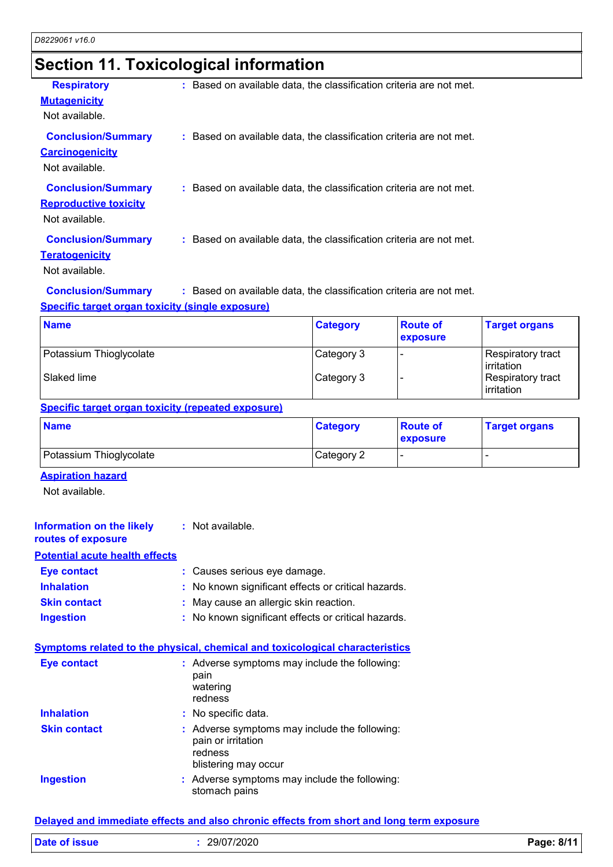### **Section 11. Toxicological information**

| <b>Respiratory</b>           | : Based on available data, the classification criteria are not met. |
|------------------------------|---------------------------------------------------------------------|
| <b>Mutagenicity</b>          |                                                                     |
| Not available.               |                                                                     |
| <b>Conclusion/Summary</b>    | : Based on available data, the classification criteria are not met. |
| <b>Carcinogenicity</b>       |                                                                     |
| Not available.               |                                                                     |
|                              |                                                                     |
| <b>Conclusion/Summary</b>    | : Based on available data, the classification criteria are not met. |
| <b>Reproductive toxicity</b> |                                                                     |
| Not available.               |                                                                     |
|                              |                                                                     |
| <b>Conclusion/Summary</b>    | : Based on available data, the classification criteria are not met. |
| <b>Teratogenicity</b>        |                                                                     |
| Not available.               |                                                                     |
|                              |                                                                     |

**Conclusion/Summary :** Based on available data, the classification criteria are not met.

#### **Specific target organ toxicity (single exposure)**

| <b>Name</b>             | <b>Category</b> | <b>Route of</b><br><b>exposure</b> | <b>Target organs</b>            |
|-------------------------|-----------------|------------------------------------|---------------------------------|
| Potassium Thioglycolate | Category 3      |                                    | Respiratory tract<br>irritation |
| Slaked lime             | Category 3      |                                    | Respiratory tract<br>irritation |

#### **Specific target organ toxicity (repeated exposure)**

| <b>Name</b>             | <b>Category</b> | <b>Route of</b><br>exposure | <b>Target organs</b> |
|-------------------------|-----------------|-----------------------------|----------------------|
| Potassium Thioglycolate | Category 2      |                             |                      |

#### **Aspiration hazard**

Not available.

| <b>Information on the likely</b><br>routes of exposure | : Not available.                                    |
|--------------------------------------------------------|-----------------------------------------------------|
| <b>Potential acute health effects</b>                  |                                                     |
| <b>Eye contact</b>                                     | : Causes serious eye damage.                        |
| <b>Inhalation</b>                                      | : No known significant effects or critical hazards. |
| <b>Skin contact</b>                                    | : May cause an allergic skin reaction.              |
| <b>Ingestion</b>                                       | : No known significant effects or critical hazards. |

#### **Symptoms related to the physical, chemical and toxicological characteristics**

| <b>Eye contact</b>  | : Adverse symptoms may include the following:<br>pain<br>watering<br>redness                           |
|---------------------|--------------------------------------------------------------------------------------------------------|
| <b>Inhalation</b>   | : No specific data.                                                                                    |
| <b>Skin contact</b> | : Adverse symptoms may include the following:<br>pain or irritation<br>redness<br>blistering may occur |
| <b>Ingestion</b>    | : Adverse symptoms may include the following:<br>stomach pains                                         |

#### **Delayed and immediate effects and also chronic effects from short and long term exposure**

| <b>Date of issue</b> | 29/07/2020 | 8/11<br>$P$ aqe: |
|----------------------|------------|------------------|
|                      |            |                  |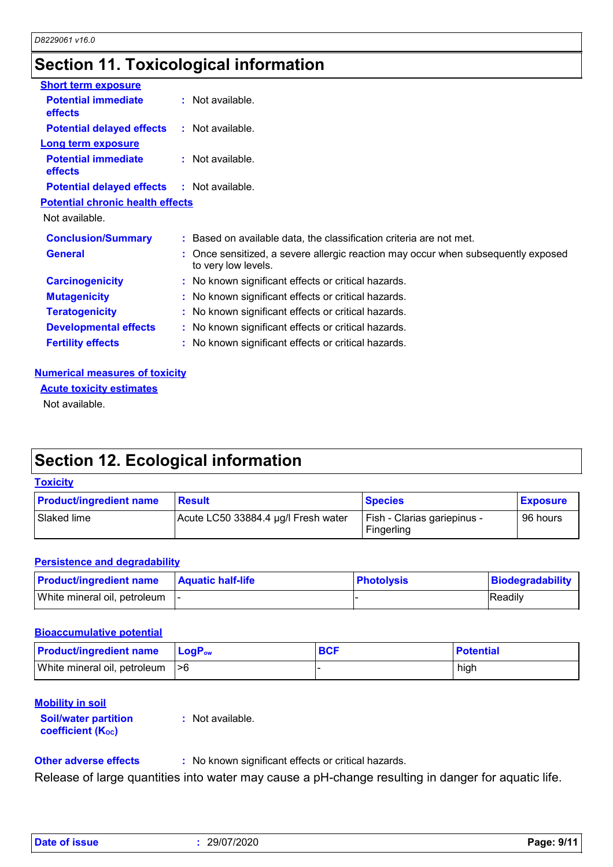### **Section 11. Toxicological information**

| <b>Short term exposure</b>                        |                                                                                                          |
|---------------------------------------------------|----------------------------------------------------------------------------------------------------------|
| <b>Potential immediate</b><br><b>effects</b>      | $:$ Not available.                                                                                       |
| <b>Potential delayed effects</b>                  | : Not available.                                                                                         |
| <b>Long term exposure</b>                         |                                                                                                          |
| <b>Potential immediate</b><br><b>effects</b>      | $:$ Not available.                                                                                       |
| <b>Potential delayed effects : Not available.</b> |                                                                                                          |
| <b>Potential chronic health effects</b>           |                                                                                                          |
| Not available.                                    |                                                                                                          |
| <b>Conclusion/Summary</b>                         | : Based on available data, the classification criteria are not met.                                      |
| <b>General</b>                                    | : Once sensitized, a severe allergic reaction may occur when subsequently exposed<br>to very low levels. |
| <b>Carcinogenicity</b>                            | : No known significant effects or critical hazards.                                                      |
| <b>Mutagenicity</b>                               | : No known significant effects or critical hazards.                                                      |
| <b>Teratogenicity</b>                             | : No known significant effects or critical hazards.                                                      |
| <b>Developmental effects</b>                      | : No known significant effects or critical hazards.                                                      |
| <b>Fertility effects</b>                          | : No known significant effects or critical hazards.                                                      |

#### **Numerical measures of toxicity**

**Acute toxicity estimates**

Not available.

### **Section 12. Ecological information**

#### **Toxicity**

| <b>Product/ingredient name</b> | <b>Result</b>                       | <b>Species</b>                            | <b>Exposure</b> |
|--------------------------------|-------------------------------------|-------------------------------------------|-----------------|
| Slaked lime                    | Acute LC50 33884.4 µg/l Fresh water | Fish - Clarias gariepinus -<br>Fingerling | 96 hours        |

#### **Persistence and degradability**

| <b>Product/ingredient name</b>  | <b>Aquatic half-life</b> | <b>Photolysis</b> | Biodegradability |
|---------------------------------|--------------------------|-------------------|------------------|
| White mineral oil, petroleum  - |                          |                   | Readily          |

#### **Bioaccumulative potential**

| <b>Product/ingredient name</b>   | <b>LogP</b> <sub>ow</sub> | <b>BCF</b> | <b>Potential</b> |
|----------------------------------|---------------------------|------------|------------------|
| White mineral oil, petroleum  >6 |                           |            | high             |

#### **Mobility in soil**

**Soil/water partition coefficient (KOC)**

**:** Not available.

**Other adverse effects** : No known significant effects or critical hazards.

Release of large quantities into water may cause a pH-change resulting in danger for aquatic life.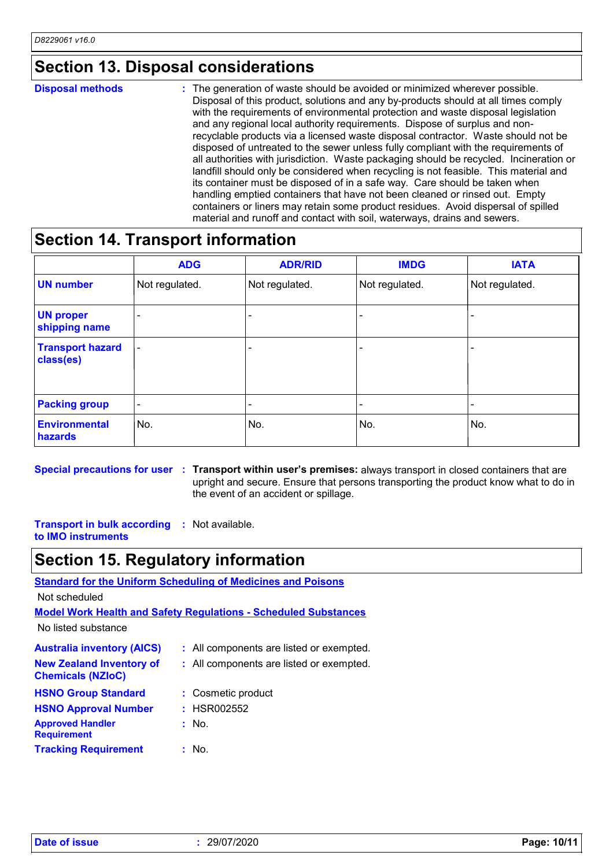#### **Section 13. Disposal considerations**

#### The generation of waste should be avoided or minimized wherever possible. Disposal of this product, solutions and any by-products should at all times comply with the requirements of environmental protection and waste disposal legislation and any regional local authority requirements. Dispose of surplus and nonrecyclable products via a licensed waste disposal contractor. Waste should not be disposed of untreated to the sewer unless fully compliant with the requirements of all authorities with jurisdiction. Waste packaging should be recycled. Incineration or landfill should only be considered when recycling is not feasible. This material and its container must be disposed of in a safe way. Care should be taken when handling emptied containers that have not been cleaned or rinsed out. Empty containers or liners may retain some product residues. Avoid dispersal of spilled material and runoff and contact with soil, waterways, drains and sewers. **Disposal methods :**

#### **Section 14. Transport information**

|                                      | <b>ADG</b>               | <b>ADR/RID</b> | <b>IMDG</b>    | <b>IATA</b>              |
|--------------------------------------|--------------------------|----------------|----------------|--------------------------|
| <b>UN number</b>                     | Not regulated.           | Not regulated. | Not regulated. | Not regulated.           |
| <b>UN proper</b><br>shipping name    |                          | ۰              |                | $\overline{\phantom{0}}$ |
| <b>Transport hazard</b><br>class(es) | $\overline{\phantom{a}}$ | -              |                | $\overline{\phantom{0}}$ |
| <b>Packing group</b>                 | $\overline{\phantom{a}}$ | -              | -              |                          |
| <b>Environmental</b><br>hazards      | No.                      | No.            | No.            | No.                      |

**Special precautions for user** : Transport within user's premises: always transport in closed containers that are upright and secure. Ensure that persons transporting the product know what to do in the event of an accident or spillage.

**Transport in bulk according :** Not available. **to IMO instruments**

#### **Section 15. Regulatory information**

**Standard for the Uniform Scheduling of Medicines and Poisons**

Not scheduled

**Model Work Health and Safety Regulations - Scheduled Substances**

No listed substance

| <b>Australia inventory (AICS)</b>                           | : All components are listed or exempted. |
|-------------------------------------------------------------|------------------------------------------|
| <b>New Zealand Inventory of</b><br><b>Chemicals (NZIoC)</b> | : All components are listed or exempted. |
| <b>HSNO Group Standard</b>                                  | : Cosmetic product                       |
| <b>HSNO Approval Number</b>                                 | : HSR002552                              |
| <b>Approved Handler</b><br><b>Requirement</b>               | : No.                                    |
| <b>Tracking Requirement</b>                                 | : No.                                    |